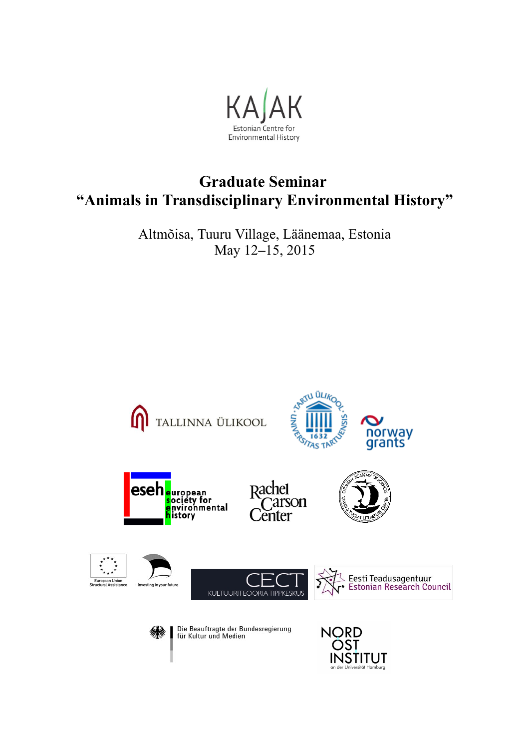

# **Graduate Seminar "Animals in Transdisciplinary Environmental History"**

Altmõisa, Tuuru Village, Läänemaa, Estonia May 12**–**15, 2015

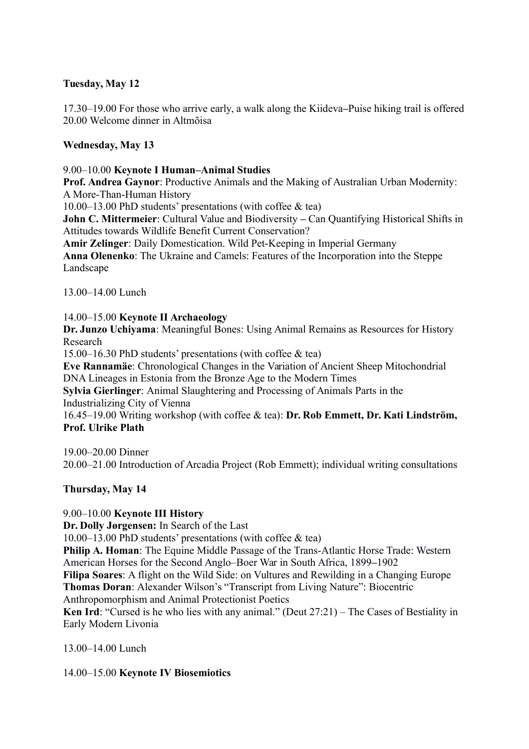## **Tuesday, May 12**

17.30–19.00 For those who arrive early, a walk along the Kiideva**–**Puise hiking trail is offered 20.00 Welcome dinner in Altmõisa

## **Wednesday, May 13**

#### 9.00–10.00 **Keynote I Human–Animal Studies**

**Prof. Andrea Gaynor**: Productive Animals and the Making of Australian Urban Modernity: A More-Than-Human History

10.00–13.00 PhD students' presentations (with coffee & tea)

**John C. Mittermeier**: Cultural Value and Biodiversity **–** Can Quantifying Historical Shifts in Attitudes towards Wildlife Benefit Current Conservation?

**Amir Zelinger**: Daily Domestication. Wild Pet-Keeping in Imperial Germany

**Anna Olenenko**: The Ukraine and Camels: Features of the Incorporation into the Steppe Landscape

13.00–14.00 Lunch

## 14.00–15.00 **Keynote II Archaeology**

**Dr. Junzo Uchiyama**: Meaningful Bones: Using Animal Remains as Resources for History Research

15.00–16.30 PhD students' presentations (with coffee & tea)

**Eve Rannamäe**: Chronological Changes in the Variation of Ancient Sheep Mitochondrial DNA Lineages in Estonia from the Bronze Age to the Modern Times

**Sylvia Gierlinger**: Animal Slaughtering and Processing of Animals Parts in the Industrializing City of Vienna

16.45–19.00 Writing workshop (with coffee & tea): **Dr. Rob Emmett, Dr. Kati Lindström, Prof. Ulrike Plath**

19.00–20.00 Dinner 20.00–21.00 Introduction of Arcadia Project (Rob Emmett); individual writing consultations

## **Thursday, May 14**

## 9.00–10.00 **Keynote III History**

**Dr. Dolly Jørgensen:** In Search of the Last

10.00–13.00 PhD students' presentations (with coffee & tea)

**Philip A. Homan:** The Equine Middle Passage of the Trans-Atlantic Horse Trade: Western American Horses for the Second Anglo–Boer War in South Africa, 1899**–**1902

**Filipa Soares**: A flight on the Wild Side: on Vultures and Rewilding in a Changing Europe **Thomas Doran**: Alexander Wilson's "Transcript from Living Nature": Biocentric Anthropomorphism and Animal Protectionist Poetics

**Ken Ird**: "Cursed is he who lies with any animal." (Deut 27:21) – The Cases of Bestiality in Early Modern Livonia

13.00–14.00 Lunch

14.00–15.00 **Keynote IV Biosemiotics**